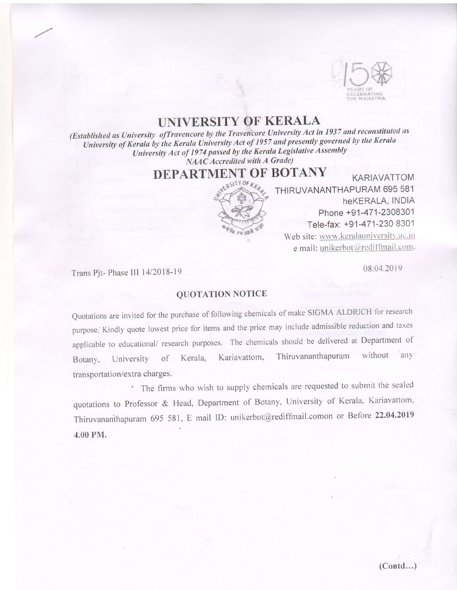

## **UNIVERSITY OF KERALA**

(Established as University of Travencore by the Travencore University Act in 1937 and reconstituted as University of Kerala by the Kerala University Act of 1957 and presently governed by the Kerala University Act of 1974 passed by the Kerala Legislative Assembly NAAC Accredited with A Grade)

DEPARTMENT OF BOTANY



**KARIAVATTOM** THIRUVANANTHAPURAM 695 581 heKERALA, INDIA Phone +91-471-2308301 Tele-fax: +91-471-230 8301 Web site: www.keralauniversity.ac.in e mail: unikerbot@rediffmail.com.

08.04.2019

Trans Pit-Phase III 14/2018-19

## **OUOTATION NOTICE**

Quotations are invited for the purchase of following chemicals of make SIGMA ALDRICH for research purpose. Kindly quote lowest price for items and the price may include admissible reduction and taxes applicable to educational/ research purposes. The chemicals should be delivered at Department of Thiruvananthapuram without any Kariavattom, of Kerala. Botany, University transportation/extra charges.

\* The firms who wish to supply chemicals are requested to submit the sealed quotations to Professor & Head, Department of Botany, University of Kerala, Kariavattom, Thiruvananthapuram 695 581, E mail ID: unikerbot@rediffmail.comon or Before 22.04.2019 4.00 PM.